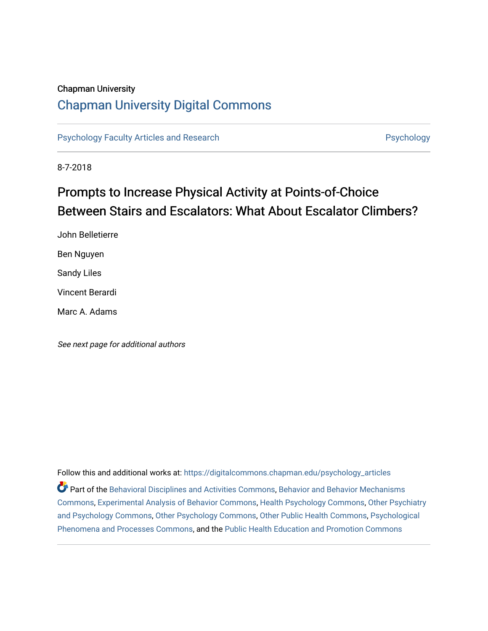## Chapman University

## [Chapman University Digital Commons](https://digitalcommons.chapman.edu/)

[Psychology Faculty Articles and Research](https://digitalcommons.chapman.edu/psychology_articles) **Psychology** Psychology

8-7-2018

# Prompts to Increase Physical Activity at Points-of-Choice Between Stairs and Escalators: What About Escalator Climbers?

John Belletierre Ben Nguyen Sandy Liles Vincent Berardi Marc A. Adams

See next page for additional authors

Follow this and additional works at: [https://digitalcommons.chapman.edu/psychology\\_articles](https://digitalcommons.chapman.edu/psychology_articles?utm_source=digitalcommons.chapman.edu%2Fpsychology_articles%2F189&utm_medium=PDF&utm_campaign=PDFCoverPages) Part of the [Behavioral Disciplines and Activities Commons](http://network.bepress.com/hgg/discipline/980?utm_source=digitalcommons.chapman.edu%2Fpsychology_articles%2F189&utm_medium=PDF&utm_campaign=PDFCoverPages), [Behavior and Behavior Mechanisms](http://network.bepress.com/hgg/discipline/963?utm_source=digitalcommons.chapman.edu%2Fpsychology_articles%2F189&utm_medium=PDF&utm_campaign=PDFCoverPages)  [Commons](http://network.bepress.com/hgg/discipline/963?utm_source=digitalcommons.chapman.edu%2Fpsychology_articles%2F189&utm_medium=PDF&utm_campaign=PDFCoverPages), [Experimental Analysis of Behavior Commons,](http://network.bepress.com/hgg/discipline/1236?utm_source=digitalcommons.chapman.edu%2Fpsychology_articles%2F189&utm_medium=PDF&utm_campaign=PDFCoverPages) [Health Psychology Commons,](http://network.bepress.com/hgg/discipline/411?utm_source=digitalcommons.chapman.edu%2Fpsychology_articles%2F189&utm_medium=PDF&utm_campaign=PDFCoverPages) [Other Psychiatry](http://network.bepress.com/hgg/discipline/992?utm_source=digitalcommons.chapman.edu%2Fpsychology_articles%2F189&utm_medium=PDF&utm_campaign=PDFCoverPages) [and Psychology Commons,](http://network.bepress.com/hgg/discipline/992?utm_source=digitalcommons.chapman.edu%2Fpsychology_articles%2F189&utm_medium=PDF&utm_campaign=PDFCoverPages) [Other Psychology Commons,](http://network.bepress.com/hgg/discipline/415?utm_source=digitalcommons.chapman.edu%2Fpsychology_articles%2F189&utm_medium=PDF&utm_campaign=PDFCoverPages) [Other Public Health Commons,](http://network.bepress.com/hgg/discipline/748?utm_source=digitalcommons.chapman.edu%2Fpsychology_articles%2F189&utm_medium=PDF&utm_campaign=PDFCoverPages) [Psychological](http://network.bepress.com/hgg/discipline/914?utm_source=digitalcommons.chapman.edu%2Fpsychology_articles%2F189&utm_medium=PDF&utm_campaign=PDFCoverPages)  [Phenomena and Processes Commons](http://network.bepress.com/hgg/discipline/914?utm_source=digitalcommons.chapman.edu%2Fpsychology_articles%2F189&utm_medium=PDF&utm_campaign=PDFCoverPages), and the [Public Health Education and Promotion Commons](http://network.bepress.com/hgg/discipline/743?utm_source=digitalcommons.chapman.edu%2Fpsychology_articles%2F189&utm_medium=PDF&utm_campaign=PDFCoverPages)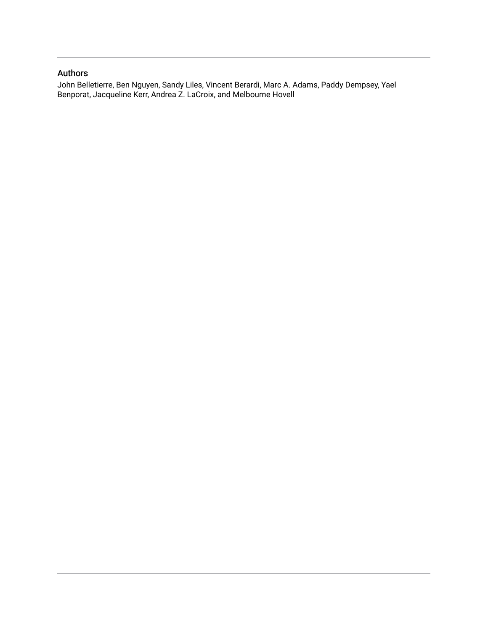## Authors

John Belletierre, Ben Nguyen, Sandy Liles, Vincent Berardi, Marc A. Adams, Paddy Dempsey, Yael Benporat, Jacqueline Kerr, Andrea Z. LaCroix, and Melbourne Hovell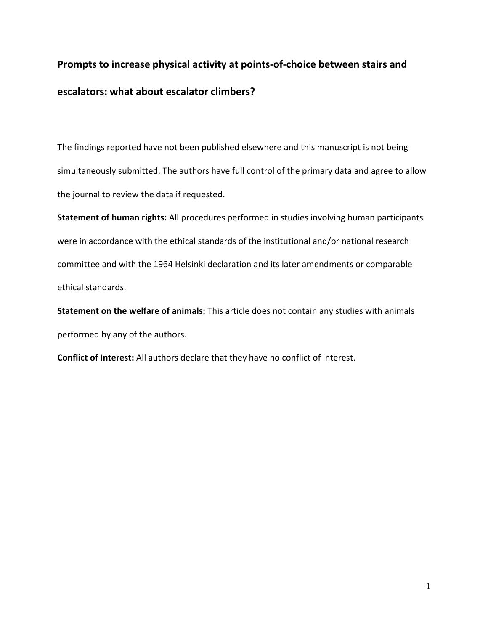# **Prompts to increase physical activity at points-of-choice between stairs and escalators: what about escalator climbers?**

The findings reported have not been published elsewhere and this manuscript is not being simultaneously submitted. The authors have full control of the primary data and agree to allow the journal to review the data if requested.

**Statement of human rights:** All procedures performed in studies involving human participants were in accordance with the ethical standards of the institutional and/or national research committee and with the 1964 Helsinki declaration and its later amendments or comparable ethical standards.

**Statement on the welfare of animals:** This article does not contain any studies with animals performed by any of the authors.

**Conflict of Interest:** All authors declare that they have no conflict of interest.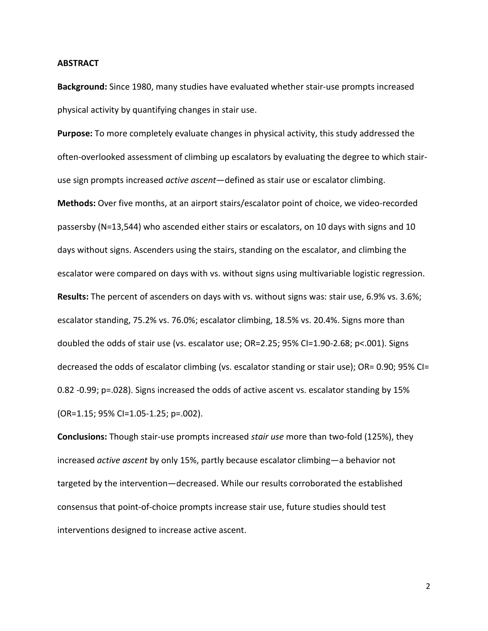#### **ABSTRACT**

**Background:** Since 1980, many studies have evaluated whether stair-use prompts increased physical activity by quantifying changes in stair use.

**Purpose:** To more completely evaluate changes in physical activity, this study addressed the often-overlooked assessment of climbing up escalators by evaluating the degree to which stairuse sign prompts increased *active ascent*—defined as stair use or escalator climbing. **Methods:** Over five months, at an airport stairs/escalator point of choice, we video-recorded passersby (N=13,544) who ascended either stairs or escalators, on 10 days with signs and 10 days without signs. Ascenders using the stairs, standing on the escalator, and climbing the escalator were compared on days with vs. without signs using multivariable logistic regression. **Results:** The percent of ascenders on days with vs. without signs was: stair use, 6.9% vs. 3.6%; escalator standing, 75.2% vs. 76.0%; escalator climbing, 18.5% vs. 20.4%. Signs more than doubled the odds of stair use (vs. escalator use; OR=2.25; 95% CI=1.90-2.68; p<.001). Signs decreased the odds of escalator climbing (vs. escalator standing or stair use); OR= 0.90; 95% CI= 0.82 -0.99; p=.028). Signs increased the odds of active ascent vs. escalator standing by 15% (OR=1.15; 95% CI=1.05-1.25; p=.002).

**Conclusions:** Though stair-use prompts increased *stair use* more than two-fold (125%), they increased *active ascent* by only 15%, partly because escalator climbing—a behavior not targeted by the intervention—decreased. While our results corroborated the established consensus that point-of-choice prompts increase stair use, future studies should test interventions designed to increase active ascent.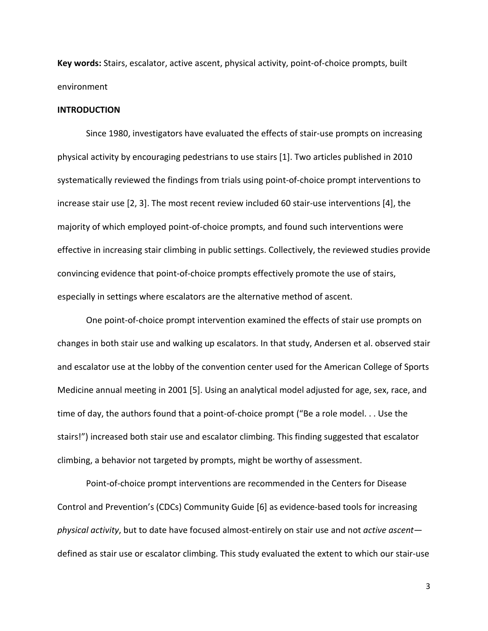**Key words:** Stairs, escalator, active ascent, physical activity, point-of-choice prompts, built environment

## **INTRODUCTION**

Since 1980, investigators have evaluated the effects of stair-use prompts on increasing physical activity by encouraging pedestrians to use stairs [1]. Two articles published in 2010 systematically reviewed the findings from trials using point-of-choice prompt interventions to increase stair use [2, 3]. The most recent review included 60 stair-use interventions [4], the majority of which employed point-of-choice prompts, and found such interventions were effective in increasing stair climbing in public settings. Collectively, the reviewed studies provide convincing evidence that point-of-choice prompts effectively promote the use of stairs, especially in settings where escalators are the alternative method of ascent.

One point-of-choice prompt intervention examined the effects of stair use prompts on changes in both stair use and walking up escalators. In that study, Andersen et al. observed stair and escalator use at the lobby of the convention center used for the American College of Sports Medicine annual meeting in 2001 [5]. Using an analytical model adjusted for age, sex, race, and time of day, the authors found that a point-of-choice prompt ("Be a role model. . . Use the stairs!") increased both stair use and escalator climbing. This finding suggested that escalator climbing, a behavior not targeted by prompts, might be worthy of assessment.

Point-of-choice prompt interventions are recommended in the Centers for Disease Control and Prevention's (CDCs) Community Guide [6] as evidence-based tools for increasing *physical activity*, but to date have focused almost-entirely on stair use and not *active ascent* defined as stair use or escalator climbing. This study evaluated the extent to which our stair-use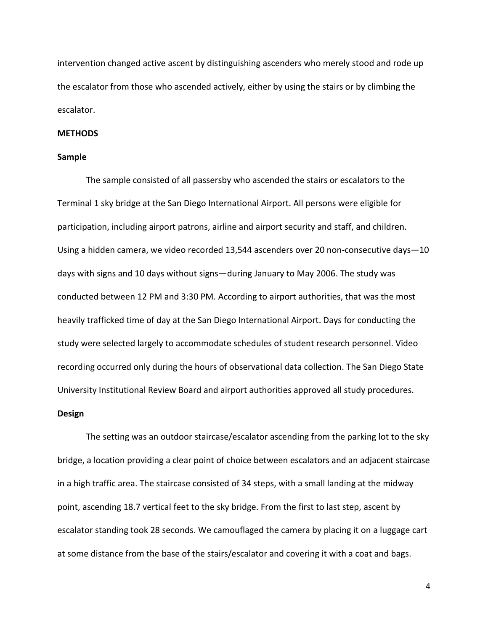intervention changed active ascent by distinguishing ascenders who merely stood and rode up the escalator from those who ascended actively, either by using the stairs or by climbing the escalator.

## **METHODS**

## **Sample**

The sample consisted of all passersby who ascended the stairs or escalators to the Terminal 1 sky bridge at the San Diego International Airport. All persons were eligible for participation, including airport patrons, airline and airport security and staff, and children. Using a hidden camera, we video recorded 13,544 ascenders over 20 non-consecutive days—10 days with signs and 10 days without signs—during January to May 2006. The study was conducted between 12 PM and 3:30 PM. According to airport authorities, that was the most heavily trafficked time of day at the San Diego International Airport. Days for conducting the study were selected largely to accommodate schedules of student research personnel. Video recording occurred only during the hours of observational data collection. The San Diego State University Institutional Review Board and airport authorities approved all study procedures.

#### **Design**

The setting was an outdoor staircase/escalator ascending from the parking lot to the sky bridge, a location providing a clear point of choice between escalators and an adjacent staircase in a high traffic area. The staircase consisted of 34 steps, with a small landing at the midway point, ascending 18.7 vertical feet to the sky bridge. From the first to last step, ascent by escalator standing took 28 seconds. We camouflaged the camera by placing it on a luggage cart at some distance from the base of the stairs/escalator and covering it with a coat and bags.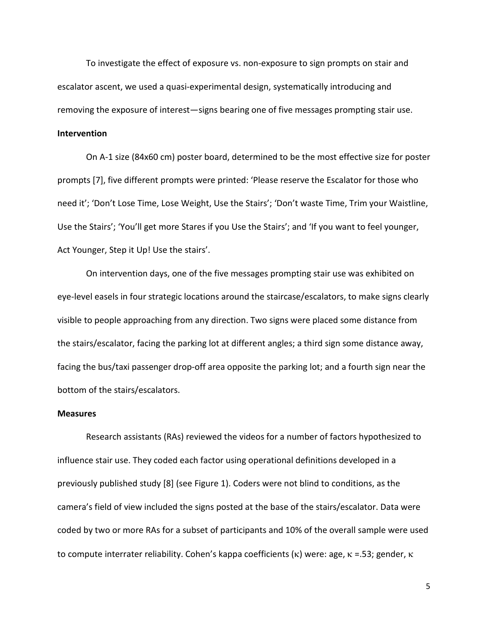To investigate the effect of exposure vs. non-exposure to sign prompts on stair and escalator ascent, we used a quasi-experimental design, systematically introducing and removing the exposure of interest—signs bearing one of five messages prompting stair use.

## **Intervention**

On A-1 size (84x60 cm) poster board, determined to be the most effective size for poster prompts [7], five different prompts were printed: 'Please reserve the Escalator for those who need it'; 'Don't Lose Time, Lose Weight, Use the Stairs'; 'Don't waste Time, Trim your Waistline, Use the Stairs'; 'You'll get more Stares if you Use the Stairs'; and 'If you want to feel younger, Act Younger, Step it Up! Use the stairs'.

On intervention days, one of the five messages prompting stair use was exhibited on eye-level easels in four strategic locations around the staircase/escalators, to make signs clearly visible to people approaching from any direction. Two signs were placed some distance from the stairs/escalator, facing the parking lot at different angles; a third sign some distance away, facing the bus/taxi passenger drop-off area opposite the parking lot; and a fourth sign near the bottom of the stairs/escalators.

#### **Measures**

Research assistants (RAs) reviewed the videos for a number of factors hypothesized to influence stair use. They coded each factor using operational definitions developed in a previously published study [8] (see Figure 1). Coders were not blind to conditions, as the camera's field of view included the signs posted at the base of the stairs/escalator. Data were coded by two or more RAs for a subset of participants and 10% of the overall sample were used to compute interrater reliability. Cohen's kappa coefficients (κ) were: age, κ =.53; gender, κ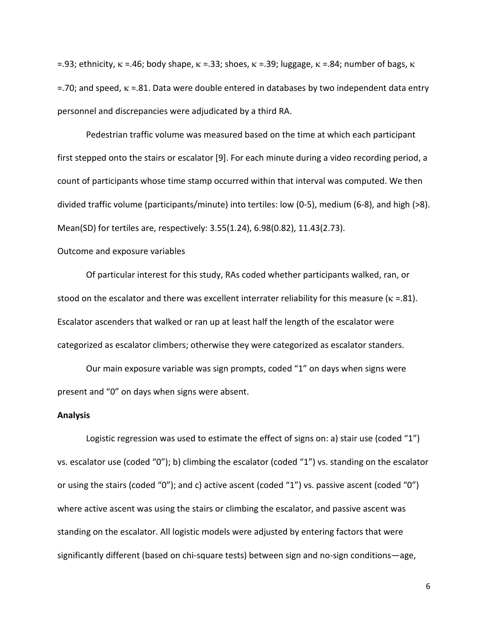=.93; ethnicity,  $κ = .46$ ; body shape,  $κ = .33$ ; shoes,  $κ = .39$ ; luggage,  $κ = .84$ ; number of bags,  $κ = .84$  $=$ .70; and speed,  $κ = 0.81$ . Data were double entered in databases by two independent data entry personnel and discrepancies were adjudicated by a third RA.

Pedestrian traffic volume was measured based on the time at which each participant first stepped onto the stairs or escalator [9]. For each minute during a video recording period, a count of participants whose time stamp occurred within that interval was computed. We then divided traffic volume (participants/minute) into tertiles: low (0-5), medium (6-8), and high (>8). Mean(SD) for tertiles are, respectively: 3.55(1.24), 6.98(0.82), 11.43(2.73).

## Outcome and exposure variables

Of particular interest for this study, RAs coded whether participants walked, ran, or stood on the escalator and there was excellent interrater reliability for this measure ( $\kappa$  =.81). Escalator ascenders that walked or ran up at least half the length of the escalator were categorized as escalator climbers; otherwise they were categorized as escalator standers.

Our main exposure variable was sign prompts, coded "1" on days when signs were present and "0" on days when signs were absent.

#### **Analysis**

Logistic regression was used to estimate the effect of signs on: a) stair use (coded "1") vs. escalator use (coded "0"); b) climbing the escalator (coded "1") vs. standing on the escalator or using the stairs (coded "0"); and c) active ascent (coded "1") vs. passive ascent (coded "0") where active ascent was using the stairs or climbing the escalator, and passive ascent was standing on the escalator. All logistic models were adjusted by entering factors that were significantly different (based on chi-square tests) between sign and no-sign conditions—age,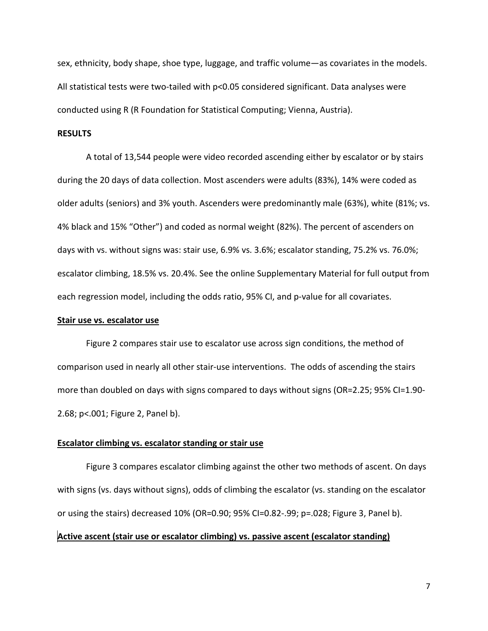sex, ethnicity, body shape, shoe type, luggage, and traffic volume—as covariates in the models. All statistical tests were two-tailed with p<0.05 considered significant. Data analyses were conducted using R (R Foundation for Statistical Computing; Vienna, Austria).

## **RESULTS**

A total of 13,544 people were video recorded ascending either by escalator or by stairs during the 20 days of data collection. Most ascenders were adults (83%), 14% were coded as older adults (seniors) and 3% youth. Ascenders were predominantly male (63%), white (81%; vs. 4% black and 15% "Other") and coded as normal weight (82%). The percent of ascenders on days with vs. without signs was: stair use, 6.9% vs. 3.6%; escalator standing, 75.2% vs. 76.0%; escalator climbing, 18.5% vs. 20.4%. See the online Supplementary Material for full output from each regression model, including the odds ratio, 95% CI, and p-value for all covariates.

## **Stair use vs. escalator use**

Figure 2 compares stair use to escalator use across sign conditions, the method of comparison used in nearly all other stair-use interventions. The odds of ascending the stairs more than doubled on days with signs compared to days without signs (OR=2.25; 95% CI=1.90- 2.68; p<.001; Figure 2, Panel b).

### **Escalator climbing vs. escalator standing or stair use**

Figure 3 compares escalator climbing against the other two methods of ascent. On days with signs (vs. days without signs), odds of climbing the escalator (vs. standing on the escalator or using the stairs) decreased 10% (OR=0.90; 95% CI=0.82-.99; p=.028; Figure 3, Panel b). **Active ascent (stair use or escalator climbing) vs. passive ascent (escalator standing)**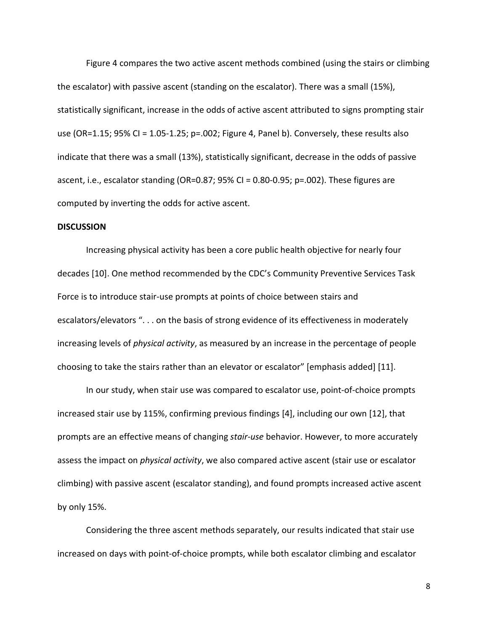Figure 4 compares the two active ascent methods combined (using the stairs or climbing the escalator) with passive ascent (standing on the escalator). There was a small (15%), statistically significant, increase in the odds of active ascent attributed to signs prompting stair use (OR=1.15; 95% CI = 1.05-1.25; p=.002; Figure 4, Panel b). Conversely, these results also indicate that there was a small (13%), statistically significant, decrease in the odds of passive ascent, i.e., escalator standing (OR=0.87; 95% CI = 0.80-0.95; p=.002). These figures are computed by inverting the odds for active ascent.

#### **DISCUSSION**

Increasing physical activity has been a core public health objective for nearly four decades [10]. One method recommended by the CDC's Community Preventive Services Task Force is to introduce stair-use prompts at points of choice between stairs and escalators/elevators ". . . on the basis of strong evidence of its effectiveness in moderately increasing levels of *physical activity*, as measured by an increase in the percentage of people choosing to take the stairs rather than an elevator or escalator" [emphasis added] [11].

In our study, when stair use was compared to escalator use, point-of-choice prompts increased stair use by 115%, confirming previous findings [4], including our own [12], that prompts are an effective means of changing *stair-use* behavior. However, to more accurately assess the impact on *physical activity*, we also compared active ascent (stair use or escalator climbing) with passive ascent (escalator standing), and found prompts increased active ascent by only 15%.

Considering the three ascent methods separately, our results indicated that stair use increased on days with point-of-choice prompts, while both escalator climbing and escalator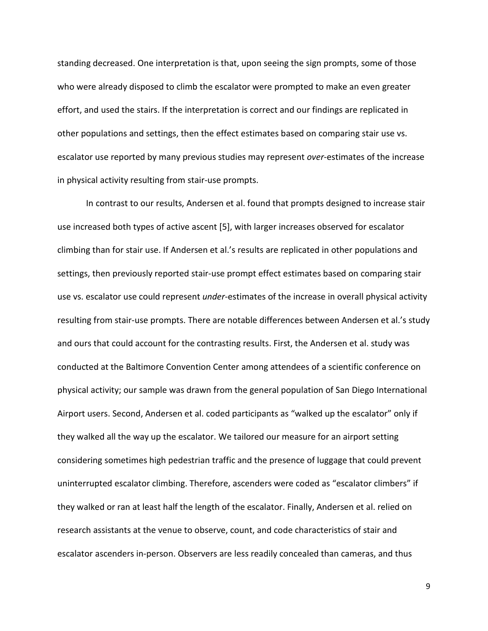standing decreased. One interpretation is that, upon seeing the sign prompts, some of those who were already disposed to climb the escalator were prompted to make an even greater effort, and used the stairs. If the interpretation is correct and our findings are replicated in other populations and settings, then the effect estimates based on comparing stair use vs. escalator use reported by many previous studies may represent *over-*estimates of the increase in physical activity resulting from stair-use prompts.

In contrast to our results, Andersen et al. found that prompts designed to increase stair use increased both types of active ascent [5], with larger increases observed for escalator climbing than for stair use. If Andersen et al.'s results are replicated in other populations and settings, then previously reported stair-use prompt effect estimates based on comparing stair use vs. escalator use could represent *under*-estimates of the increase in overall physical activity resulting from stair-use prompts. There are notable differences between Andersen et al.'s study and ours that could account for the contrasting results. First, the Andersen et al. study was conducted at the Baltimore Convention Center among attendees of a scientific conference on physical activity; our sample was drawn from the general population of San Diego International Airport users. Second, Andersen et al. coded participants as "walked up the escalator" only if they walked all the way up the escalator. We tailored our measure for an airport setting considering sometimes high pedestrian traffic and the presence of luggage that could prevent uninterrupted escalator climbing. Therefore, ascenders were coded as "escalator climbers" if they walked or ran at least half the length of the escalator. Finally, Andersen et al. relied on research assistants at the venue to observe, count, and code characteristics of stair and escalator ascenders in-person. Observers are less readily concealed than cameras, and thus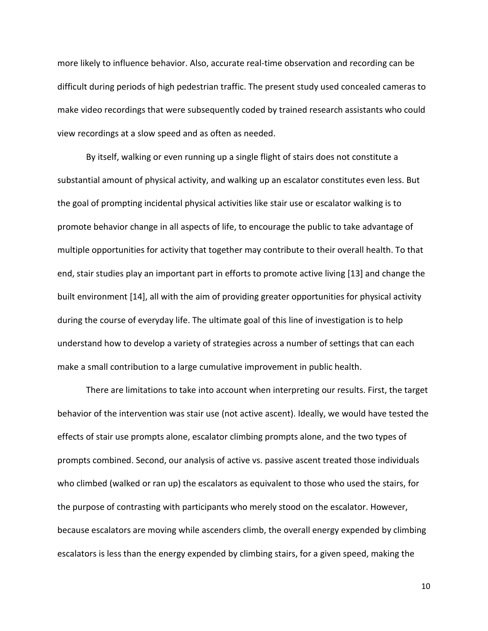more likely to influence behavior. Also, accurate real-time observation and recording can be difficult during periods of high pedestrian traffic. The present study used concealed cameras to make video recordings that were subsequently coded by trained research assistants who could view recordings at a slow speed and as often as needed.

By itself, walking or even running up a single flight of stairs does not constitute a substantial amount of physical activity, and walking up an escalator constitutes even less. But the goal of prompting incidental physical activities like stair use or escalator walking is to promote behavior change in all aspects of life, to encourage the public to take advantage of multiple opportunities for activity that together may contribute to their overall health. To that end, stair studies play an important part in efforts to promote active living [13] and change the built environment [14], all with the aim of providing greater opportunities for physical activity during the course of everyday life. The ultimate goal of this line of investigation is to help understand how to develop a variety of strategies across a number of settings that can each make a small contribution to a large cumulative improvement in public health.

There are limitations to take into account when interpreting our results. First, the target behavior of the intervention was stair use (not active ascent). Ideally, we would have tested the effects of stair use prompts alone, escalator climbing prompts alone, and the two types of prompts combined. Second, our analysis of active vs. passive ascent treated those individuals who climbed (walked or ran up) the escalators as equivalent to those who used the stairs, for the purpose of contrasting with participants who merely stood on the escalator. However, because escalators are moving while ascenders climb, the overall energy expended by climbing escalators is less than the energy expended by climbing stairs, for a given speed, making the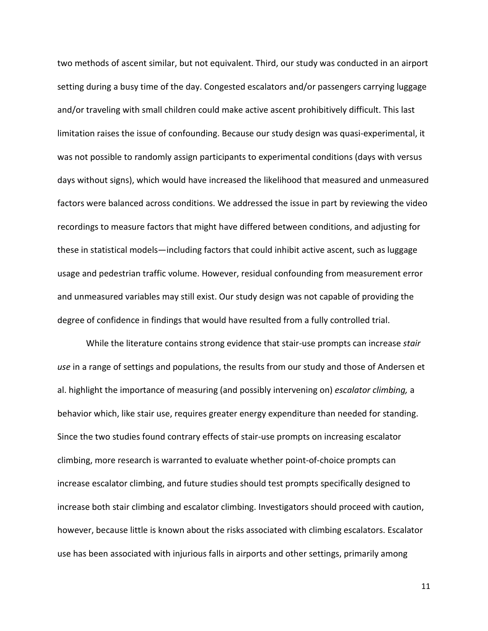two methods of ascent similar, but not equivalent. Third, our study was conducted in an airport setting during a busy time of the day. Congested escalators and/or passengers carrying luggage and/or traveling with small children could make active ascent prohibitively difficult. This last limitation raises the issue of confounding. Because our study design was quasi-experimental, it was not possible to randomly assign participants to experimental conditions (days with versus days without signs), which would have increased the likelihood that measured and unmeasured factors were balanced across conditions. We addressed the issue in part by reviewing the video recordings to measure factors that might have differed between conditions, and adjusting for these in statistical models—including factors that could inhibit active ascent, such as luggage usage and pedestrian traffic volume. However, residual confounding from measurement error and unmeasured variables may still exist. Our study design was not capable of providing the degree of confidence in findings that would have resulted from a fully controlled trial.

While the literature contains strong evidence that stair-use prompts can increase *stair use* in a range of settings and populations, the results from our study and those of Andersen et al. highlight the importance of measuring (and possibly intervening on) *escalator climbing,* a behavior which, like stair use, requires greater energy expenditure than needed for standing. Since the two studies found contrary effects of stair-use prompts on increasing escalator climbing, more research is warranted to evaluate whether point-of-choice prompts can increase escalator climbing, and future studies should test prompts specifically designed to increase both stair climbing and escalator climbing. Investigators should proceed with caution, however, because little is known about the risks associated with climbing escalators. Escalator use has been associated with injurious falls in airports and other settings, primarily among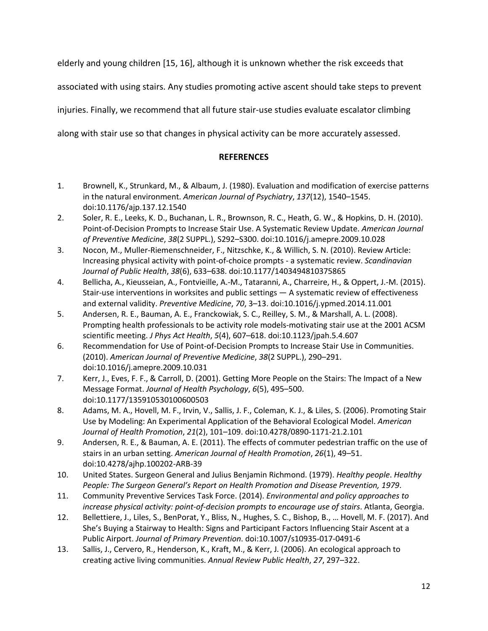elderly and young children [15, 16], although it is unknown whether the risk exceeds that

associated with using stairs. Any studies promoting active ascent should take steps to prevent

injuries. Finally, we recommend that all future stair-use studies evaluate escalator climbing

along with stair use so that changes in physical activity can be more accurately assessed.

## **REFERENCES**

- 1. Brownell, K., Strunkard, M., & Albaum, J. (1980). Evaluation and modification of exercise patterns in the natural environment. *American Journal of Psychiatry*, *137*(12), 1540–1545. doi:10.1176/ajp.137.12.1540
- 2. Soler, R. E., Leeks, K. D., Buchanan, L. R., Brownson, R. C., Heath, G. W., & Hopkins, D. H. (2010). Point-of-Decision Prompts to Increase Stair Use. A Systematic Review Update. *American Journal of Preventive Medicine*, *38*(2 SUPPL.), S292–S300. doi:10.1016/j.amepre.2009.10.028
- 3. Nocon, M., Muller-Riemenschneider, F., Nitzschke, K., & Willich, S. N. (2010). Review Article: Increasing physical activity with point-of-choice prompts - a systematic review. *Scandinavian Journal of Public Health*, *38*(6), 633–638. doi:10.1177/1403494810375865
- 4. Bellicha, A., Kieusseian, A., Fontvieille, A.-M., Tataranni, A., Charreire, H., & Oppert, J.-M. (2015). Stair-use interventions in worksites and public settings — A systematic review of effectiveness and external validity. *Preventive Medicine*, *70*, 3–13. doi:10.1016/j.ypmed.2014.11.001
- 5. Andersen, R. E., Bauman, A. E., Franckowiak, S. C., Reilley, S. M., & Marshall, A. L. (2008). Prompting health professionals to be activity role models-motivating stair use at the 2001 ACSM scientific meeting. *J Phys Act Health*, *5*(4), 607–618. doi:10.1123/jpah.5.4.607
- 6. Recommendation for Use of Point-of-Decision Prompts to Increase Stair Use in Communities. (2010). *American Journal of Preventive Medicine*, *38*(2 SUPPL.), 290–291. doi:10.1016/j.amepre.2009.10.031
- 7. Kerr, J., Eves, F. F., & Carroll, D. (2001). Getting More People on the Stairs: The Impact of a New Message Format. *Journal of Health Psychology*, *6*(5), 495–500. doi:10.1177/135910530100600503
- 8. Adams, M. A., Hovell, M. F., Irvin, V., Sallis, J. F., Coleman, K. J., & Liles, S. (2006). Promoting Stair Use by Modeling: An Experimental Application of the Behavioral Ecological Model. *American Journal of Health Promotion*, *21*(2), 101–109. doi:10.4278/0890-1171-21.2.101
- 9. Andersen, R. E., & Bauman, A. E. (2011). The effects of commuter pedestrian traffic on the use of stairs in an urban setting. *American Journal of Health Promotion*, *26*(1), 49–51. doi:10.4278/ajhp.100202-ARB-39
- 10. United States. Surgeon General and Julius Benjamin Richmond. (1979). *Healthy people*. *Healthy People: The Surgeon General's Report on Health Promotion and Disease Prevention, 1979*.
- 11. Community Preventive Services Task Force. (2014). *Environmental and policy approaches to increase physical activity: point-of-decision prompts to encourage use of stairs*. Atlanta, Georgia.
- 12. Bellettiere, J., Liles, S., BenPorat, Y., Bliss, N., Hughes, S. C., Bishop, B., … Hovell, M. F. (2017). And She's Buying a Stairway to Health: Signs and Participant Factors Influencing Stair Ascent at a Public Airport. *Journal of Primary Prevention*. doi:10.1007/s10935-017-0491-6
- 13. Sallis, J., Cervero, R., Henderson, K., Kraft, M., & Kerr, J. (2006). An ecological approach to creating active living communities. *Annual Review Public Health*, *27*, 297–322.